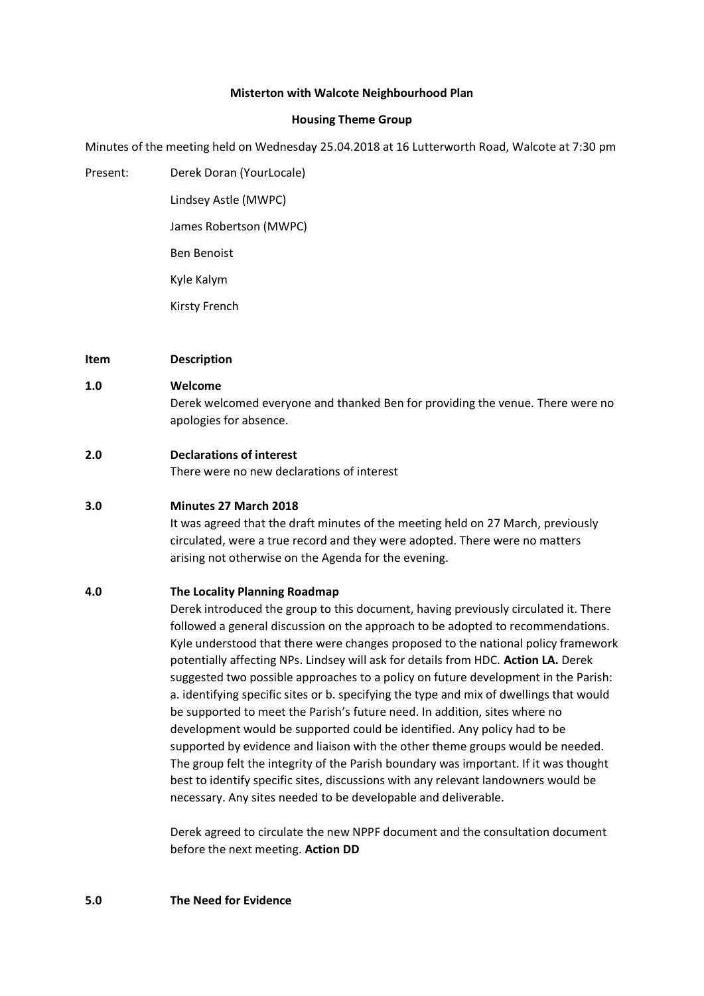# **Misterton with Walcote Neighbourhood Plan**

# **Housing Theme Group**

Minutes of the meeting held on Wednesday 25.04.2018 at 16 Lutterworth Road, Walcote at 7:30 pm

Present: Derek Doran (YourLocale) Lindsey Astle (MWPC) James Robertson (MWPC) Ben Benoist Kyle Kalym Kirsty French

# **Item Description**

# **1.0 Welcome**

Derek welcomed everyone and thanked Ben for providing the venue. There were no apologies for absence.

# **2.0 Declarations of interest**

There were no new declarations of interest

#### **3.0 Minutes 27 March 2018**

It was agreed that the draft minutes of the meeting held on 27 March, previously circulated, were a true record and they were adopted. There were no matters arising not otherwise on the Agenda for the evening.

# **4.0 The Locality Planning Roadmap**

Derek introduced the group to this document, having previously circulated it. There followed a general discussion on the approach to be adopted to recommendations. Kyle understood that there were changes proposed to the national policy framework potentially affecting NPs. Lindsey will ask for details from HDC. **Action LA.** Derek suggested two possible approaches to a policy on future development in the Parish: a. identifying specific sites or b. specifying the type and mix of dwellings that would be supported to meet the Parish's future need. In addition, sites where no development would be supported could be identified. Any policy had to be supported by evidence and liaison with the other theme groups would be needed. The group felt the integrity of the Parish boundary was important. If it was thought best to identify specific sites, discussions with any relevant landowners would be necessary. Any sites needed to be developable and deliverable.

Derek agreed to circulate the new NPPF document and the consultation document before the next meeting. **Action DD**